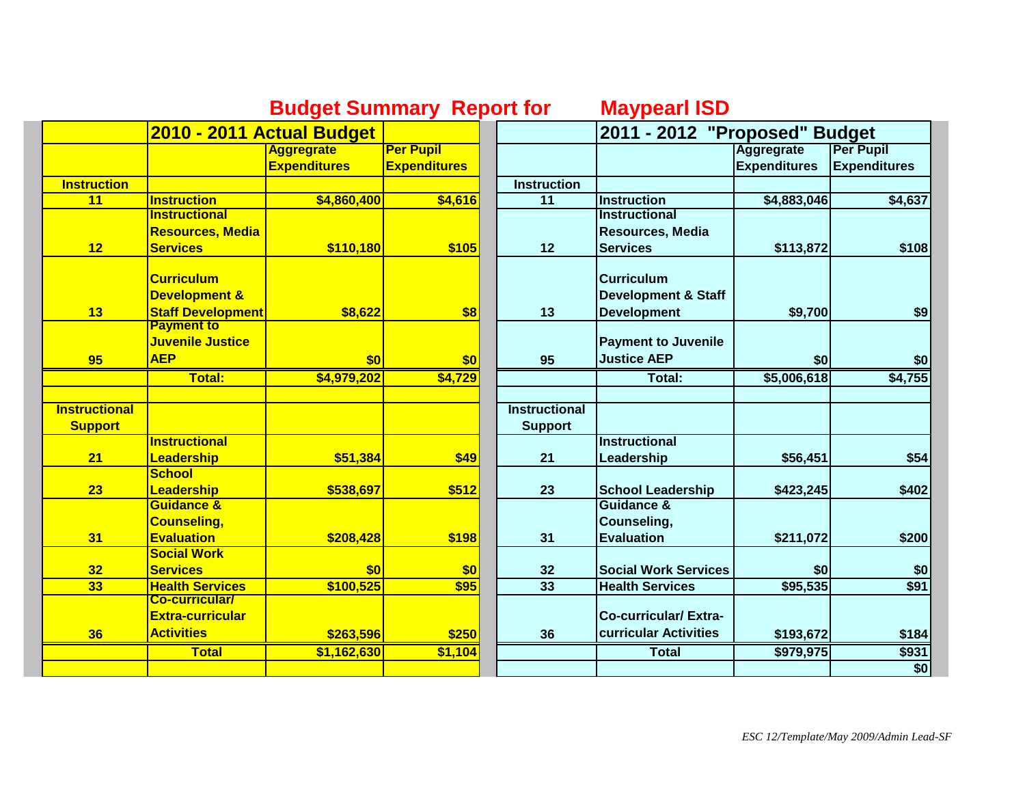|                      | <b>Budget Summary Report for</b> |                     |                     |                      | <b>Maypearl ISD</b>            |                               |                     |  |
|----------------------|----------------------------------|---------------------|---------------------|----------------------|--------------------------------|-------------------------------|---------------------|--|
|                      | 2010 - 2011 Actual Budget        |                     |                     |                      |                                | 2011 - 2012 "Proposed" Budget |                     |  |
|                      |                                  | <b>Aggregrate</b>   | <b>Per Pupil</b>    |                      |                                | <b>Aggregrate</b>             | <b>Per Pupil</b>    |  |
|                      |                                  | <b>Expenditures</b> | <b>Expenditures</b> |                      |                                | <b>Expenditures</b>           | <b>Expenditures</b> |  |
| <b>Instruction</b>   |                                  |                     |                     | <b>Instruction</b>   |                                |                               |                     |  |
| 11                   | <b>Instruction</b>               | \$4,860,400         | \$4,616             | $\overline{11}$      | <b>Instruction</b>             | \$4,883,046                   | \$4,637             |  |
|                      | <b>Instructional</b>             |                     |                     |                      | <b>Instructional</b>           |                               |                     |  |
|                      | <b>Resources, Media</b>          |                     |                     |                      | <b>Resources, Media</b>        |                               |                     |  |
| 12                   | <b>Services</b>                  | \$110,180           | \$105               | 12                   | <b>Services</b>                | \$113,872                     | \$108               |  |
|                      | <b>Curriculum</b>                |                     |                     |                      | <b>Curriculum</b>              |                               |                     |  |
|                      | <b>Development &amp;</b>         |                     |                     |                      | <b>Development &amp; Staff</b> |                               |                     |  |
| 13                   | <b>Staff Development</b>         |                     | \$8                 | 13                   | <b>Development</b>             | \$9,700                       |                     |  |
|                      | <b>Payment to</b>                | \$8,622             |                     |                      |                                |                               | \$9                 |  |
|                      | Juvenile Justice                 |                     |                     |                      | <b>Payment to Juvenile</b>     |                               |                     |  |
| 95                   | <b>AEP</b>                       | \$0                 | \$0                 | 95                   | <b>Justice AEP</b>             | \$0                           | \$0                 |  |
|                      | Total:                           | \$4,979,202         | \$4,729             |                      | Total:                         | \$5,006,618                   | \$4,755             |  |
|                      |                                  |                     |                     |                      |                                |                               |                     |  |
| <b>Instructional</b> |                                  |                     |                     | <b>Instructional</b> |                                |                               |                     |  |
| <b>Support</b>       |                                  |                     |                     | <b>Support</b>       |                                |                               |                     |  |
|                      | <b>Instructional</b>             |                     |                     |                      | <b>Instructional</b>           |                               |                     |  |
| 21                   | Leadership                       | \$51,384            | \$49                | 21                   | Leadership                     | \$56,451                      | \$54                |  |
|                      | <b>School</b>                    |                     |                     |                      |                                |                               |                     |  |
| 23                   | Leadership                       | \$538,697           | \$512               | 23                   | <b>School Leadership</b>       | \$423,245                     | \$402               |  |
|                      | <b>Guidance &amp;</b>            |                     |                     |                      | Guidance &                     |                               |                     |  |
|                      | <b>Counseling,</b>               |                     |                     |                      | Counseling,                    |                               |                     |  |
| 31                   | <b>Evaluation</b>                | \$208,428           | \$198               | 31                   | <b>Evaluation</b>              | \$211,072                     | \$200               |  |
|                      | <b>Social Work</b>               |                     |                     |                      |                                |                               |                     |  |
| 32                   | <b>Services</b>                  | \$0                 | \$0                 | 32                   | <b>Social Work Services</b>    | \$0                           | \$0                 |  |
| 33                   | <b>Health Services</b>           | \$100,525           | \$95                | 33                   | <b>Health Services</b>         | \$95,535                      | \$91                |  |
|                      | <b>Co-curricular/</b>            |                     |                     |                      |                                |                               |                     |  |
|                      | <b>Extra-curricular</b>          |                     |                     |                      | <b>Co-curricular/Extra-</b>    |                               |                     |  |
| 36                   | <b>Activities</b>                | \$263,596           | \$250               | 36                   | curricular Activities          | \$193,672                     | \$184               |  |
|                      | <b>Total</b>                     | \$1,162,630         | \$1,104             |                      | <b>Total</b>                   | \$979,975                     | \$931               |  |
|                      |                                  |                     |                     |                      |                                |                               | \$0                 |  |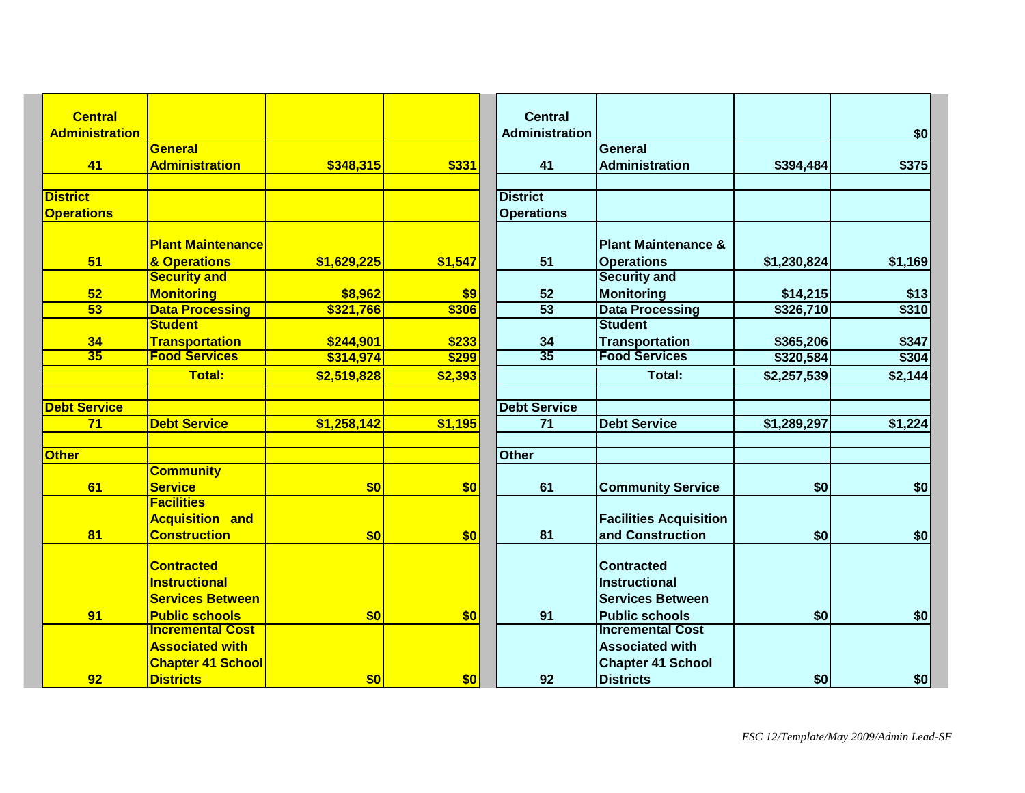| <b>Central</b>        |                                                  |             |                | <b>Central</b>        |                                                  |             |         |
|-----------------------|--------------------------------------------------|-------------|----------------|-----------------------|--------------------------------------------------|-------------|---------|
| <b>Administration</b> |                                                  |             |                | <b>Administration</b> |                                                  |             | \$0     |
|                       | <b>General</b>                                   |             |                |                       | <b>General</b>                                   |             |         |
| 41                    | <b>Administration</b>                            | \$348,315   | \$331          | 41                    | <b>Administration</b>                            | \$394,484   | \$375   |
| <b>District</b>       |                                                  |             |                | <b>District</b>       |                                                  |             |         |
| <b>Operations</b>     |                                                  |             |                | <b>Operations</b>     |                                                  |             |         |
|                       |                                                  |             |                |                       |                                                  |             |         |
|                       | <b>Plant Maintenance</b>                         |             |                |                       | <b>Plant Maintenance &amp;</b>                   |             |         |
| 51                    | & Operations                                     | \$1,629,225 | \$1,547        | 51                    | <b>Operations</b>                                | \$1,230,824 | \$1,169 |
|                       | <b>Security and</b>                              |             |                |                       | <b>Security and</b>                              |             |         |
| 52                    | <b>Monitoring</b>                                | \$8,962     | \$9            | 52                    | <b>Monitoring</b>                                | \$14,215    | \$13    |
| $\overline{53}$       | <b>Data Processing</b>                           | \$321,766   | \$306          | $\overline{53}$       | <b>Data Processing</b>                           | \$326,710   | \$310   |
|                       | <b>Student</b>                                   |             |                |                       | <b>Student</b>                                   |             |         |
| 34                    | <b>Transportation</b>                            | \$244,901   | \$233          | 34                    | <b>Transportation</b>                            | \$365,206   | \$347   |
| $\overline{35}$       | <b>Food Services</b>                             | \$314,974   | \$299          | 35                    | <b>Food Services</b>                             | \$320,584   | \$304   |
|                       | <b>Total:</b>                                    | \$2,519,828 | \$2,393        |                       | Total:                                           | \$2,257,539 | \$2,144 |
|                       |                                                  |             |                |                       |                                                  |             |         |
| <b>Debt Service</b>   |                                                  |             |                | <b>Debt Service</b>   |                                                  |             |         |
| 71                    | <b>Debt Service</b>                              | \$1,258,142 | \$1,195        | $\overline{71}$       | <b>Debt Service</b>                              | \$1,289,297 | \$1,224 |
| <b>Other</b>          |                                                  |             |                | <b>Other</b>          |                                                  |             |         |
|                       | <b>Community</b>                                 |             |                |                       |                                                  |             |         |
| 61                    | <b>Service</b>                                   | \$0         | \$0            | 61                    | <b>Community Service</b>                         | \$0         | \$0     |
|                       | <b>Facilities</b>                                |             |                |                       |                                                  |             |         |
|                       | <b>Acquisition and</b>                           |             |                |                       | <b>Facilities Acquisition</b>                    |             |         |
| 81                    | <b>Construction</b>                              | \$0         | \$0            | 81                    | and Construction                                 | \$0         | \$0     |
|                       |                                                  |             |                |                       |                                                  |             |         |
|                       | <b>Contracted</b>                                |             |                |                       | <b>Contracted</b>                                |             |         |
|                       | <b>Instructional</b>                             |             |                |                       | <b>Instructional</b>                             |             |         |
|                       | <b>Services Between</b>                          |             |                |                       | <b>Services Between</b>                          |             |         |
| 91                    | <b>Public schools</b><br><b>Incremental Cost</b> | \$0         | \$0            | 91                    | <b>Public schools</b><br><b>Incremental Cost</b> | \$0         | \$0     |
|                       |                                                  |             |                |                       |                                                  |             |         |
|                       | <b>Associated with</b>                           |             |                |                       | <b>Associated with</b>                           |             |         |
|                       | <b>Chapter 41 School</b>                         |             |                |                       | <b>Chapter 41 School</b>                         |             |         |
| 92                    | <b>Districts</b>                                 | \$0         | s <sub>0</sub> | 92                    | <b>Districts</b>                                 | \$0         | \$0     |